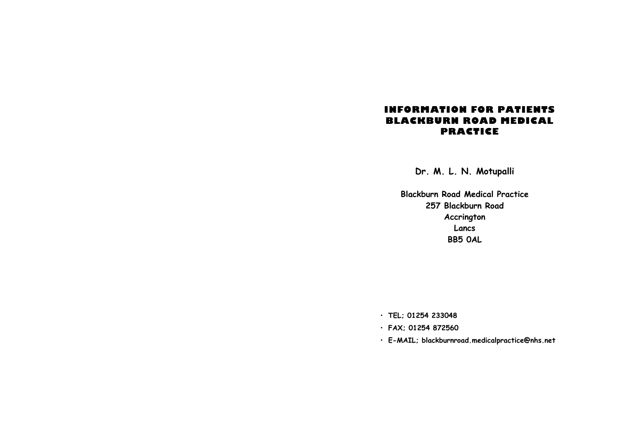## **INFORMATION FOR PATIENTS BLACKBURN ROAD MEDICAL PRACTICE**

**Dr. M. L. N. Motupalli** 

**Blackburn Road Medical Practice 257 Blackburn Road Accrington Lancs BB5 0AL** 

• **TEL; 01254 233048** 

- **FAX; 01254 872560**
- **E-MAIL; blackburnroad.medicalpractice@nhs.net**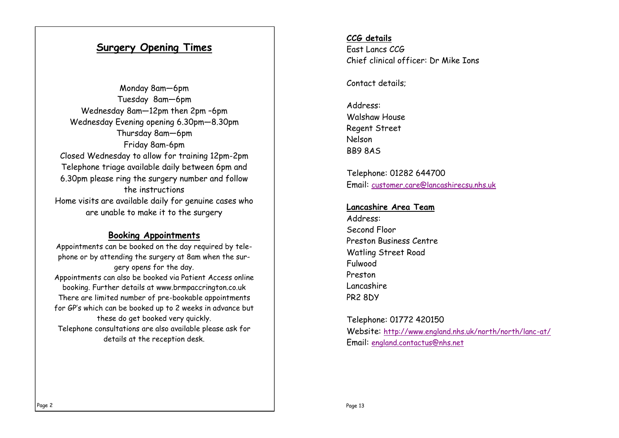## **Surgery Opening Times**

Monday 8am—6pm Tuesday 8am—6pm Wednesday 8am—12pm then 2pm –6pm Wednesday Evening opening 6.30pm—8.30pm Thursday 8am—6pm Friday 8am-6pm Closed Wednesday to allow for training 12pm-2pm Telephone triage available daily between 6pm and 6.30pm please ring the surgery number and follow the instructions Home visits are available daily for genuine cases who are unable to make it to the surgery

## **Booking Appointments**

Appointments can be booked on the day required by telephone or by attending the surgery at 8am when the surgery opens for the day. Appointments can also be booked via Patient Access online booking. Further details at www.brmpaccrington.co.uk There are limited number of pre-bookable appointments for GP's which can be booked up to 2 weeks in advance but these do get booked very quickly. Telephone consultations are also available please ask for details at the reception desk.

## **CCG details**  East Lancs CCG Chief clinical officer: Dr Mike Ions

Contact details;

Address: Walshaw House Regent Street Nelson BB9 8AS

Telephone: 01282 644700 Email: [customer.care@lancashirecsu.nhs.uk](mailto:customer.care@lancashirecsu.nhs.uk)

#### **Lancashire Area Team**

Address: Second Floor Preston Business Centre Watling Street Road Fulwood Preston Lancashire PR2 8DY

Telephone: 01772 420150 Website: <http://www.england.nhs.uk/north/north/lanc-at/> Email: [england.contactus@nhs.net](mailto:england.contactus@nhs.net)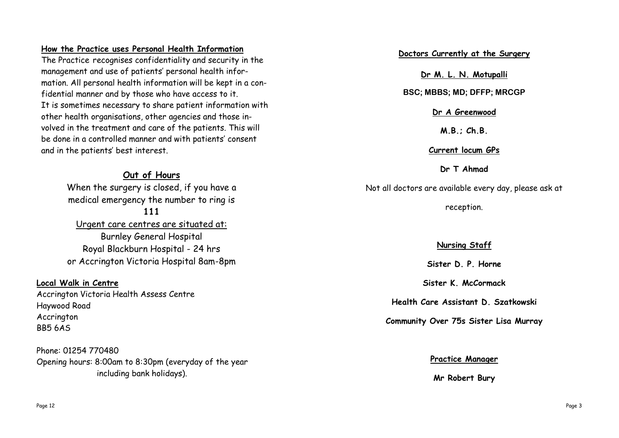## **How the Practice uses Personal Health Information**

The Practice recognises confidentiality and security in the management and use of patients' personal health information. All personal health information will be kept in a confidential manner and by those who have access to it. It is sometimes necessary to share patient information with other health organisations, other agencies and those involved in the treatment and care of the patients. This will be done in a controlled manner and with patients' consent and in the patients' best interest.

## **Out of Hours**  When the surgery is closed, if you have a medical emergency the number to ring is **111**  Urgent care centres are situated at: Burnley General Hospital Royal Blackburn Hospital - 24 hrs

or Accrington Victoria Hospital 8am-8pm

## **Local Walk in Centre**

Accrington Victoria Health Assess Centre Haywood Road Accrington BB5 6AS

Phone: 01254 770480 Opening hours: 8:00am to 8:30pm (everyday of the year including bank holidays).

**Doctors Currently at the Surgery** 

**Dr M. L. N. Motupalli** 

**BSC; MBBS; MD; DFFP; MRCGP** 

**Dr A Greenwood** 

**M.B.; Ch.B.** 

**Current locum GPs** 

**Dr T Ahmad** 

Not all doctors are available every day, please ask at

reception.

## **Nursing Staff**

**Sister D. P. Horne** 

**Sister K. McCormack** 

**Health Care Assistant D. Szatkowski** 

**Community Over 75s Sister Lisa Murray** 

#### **Practice Manager**

**Mr Robert Bury**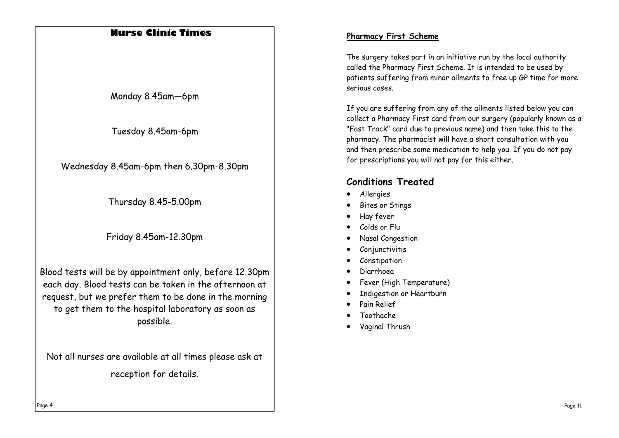## **Nurse Clinic Times**

Monday 8.45am—6pm

Tuesday 8.45am-6pm

Wednesday 8.45am-6pm then 6.30pm-8.30pm

Thursday 8.45-5.00pm

Friday 8.45am-12.30pm

Blood tests will be by appointment only, before 12.30pm each day. Blood tests can be taken in the afternoon at request, but we prefer them to be done in the morning to get them to the hospital laboratory as soon as possible.

Not all nurses are available at all times please ask at reception for details.

### **Pharmacy First Scheme**

The surgery takes part in an initiative run by the local authority called the Pharmacy First Scheme. It is intended to be used by patients suffering from minor ailments to free up GP time for more serious cases.

If you are suffering from any of the ailments listed below you can collect a Pharmacy First card from our surgery (popularly known as a "Fast Track" card due to previous name) and then take this to the pharmacy. The pharmacist will have a short consultation with you and then prescribe some medication to help you. If you do not pay for prescriptions you will not pay for this either.

## **Conditions Treated**

- Allergies
- Bites or Stings
- Hay fever
- Colds or Flu
- Nasal Congestion
- Conjunctivitis
- Constipation
- Diarrhoea
- Fever (High Temperature)
- Indigestion or Heartburn
- Pain Relief
- Toothache
- Vaginal Thrush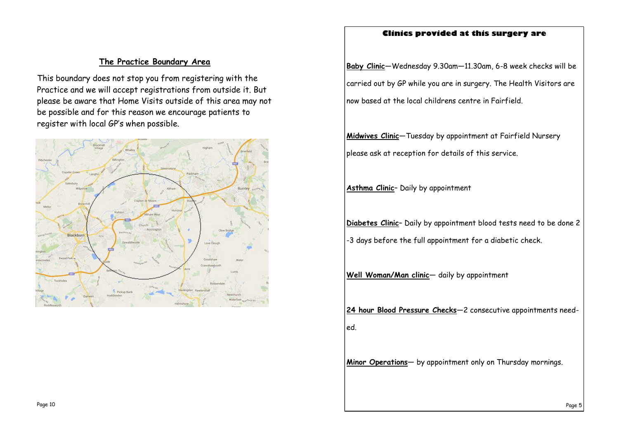#### **Clinics provided at this surgery are**

# **The Practice Boundary Area**

This boundary does not stop you from registering with the Practice and we will accept registrations from outside it. But please be aware that Home Visits outside of this area may not be possible and for this reason we encourage patients to register with local GP's when possible.



**Baby Clinic** —Wednesday 9.30am —11.30am, 6-8 week checks will be carried out by GP while you are in surgery. The Health Visitors are now based at the local childrens centre in Fairfield.

**Midwives Clinic** —Tuesday by appointment at Fairfield Nursery please ask at reception for details of this service.

**Asthma Clinic** – Daily by appointment

**Diabetes Clinic** – Daily by appointment blood tests need to be done 2

-3 days before the full appointment for a diabetic check.

**Well Woman/Man clinic** — daily by appointment

**24 hour Blood Pressure Checks** —2 consecutive appointments needed.

**Minor Operations** — by appointment only on Thursday mornings.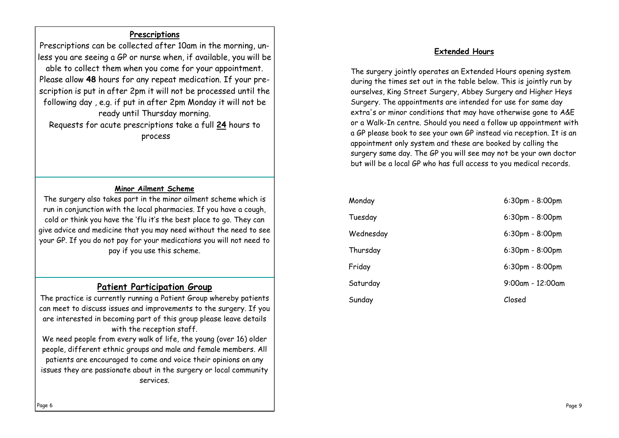### **Prescriptions**

Prescriptions can be collected after 10am in the morning, unless you are seeing a GP or nurse when, if available, you will be able to collect them when you come for your appointment. Please allow **48** hours for any repeat medication. If your prescription is put in after 2pm it will not be processed until the following day , e.g. if put in after 2pm Monday it will not be ready until Thursday morning.

Requests for acute prescriptions take a full **24** hours to process

#### **Minor Ailment Scheme**

The surgery also takes part in the minor ailment scheme which is run in conjunction with the local pharmacies. If you have a cough, cold or think you have the 'flu it's the best place to go. They can give advice and medicine that you may need without the need to see your GP. If you do not pay for your medications you will not need to pay if you use this scheme.

#### **Patient Participation Group**

The practice is currently running a Patient Group whereby patients can meet to discuss issues and improvements to the surgery. If you are interested in becoming part of this group please leave details with the reception staff.

We need people from every walk of life, the young (over 16) older people, different ethnic groups and male and female members. All patients are encouraged to come and voice their opinions on any issues they are passionate about in the surgery or local community services.

#### **Extended Hours**

The surgery jointly operates an Extended Hours opening system during the times set out in the table below. This is jointly run by ourselves, King Street Surgery, Abbey Surgery and Higher Heys Surgery. The appointments are intended for use for same day extra's or minor conditions that may have otherwise gone to A&E or a Walk-In centre. Should you need a follow up appointment with a GP please book to see your own GP instead via reception. It is an appointment only system and these are booked by calling the surgery same day. The GP you will see may not be your own doctor but will be a local GP who has full access to you medical records.

| Monday    | $6:30$ pm - $8:00$ pm |
|-----------|-----------------------|
| Tuesday   | 6:30pm - 8:00pm       |
| Wednesday | 6:30pm - 8:00pm       |
| Thursday  | 6:30pm - 8:00pm       |
| Friday    | 6:30pm - 8:00pm       |
| Saturday  | $9:00$ am - 12:00am   |
| Sunday    | Closed                |